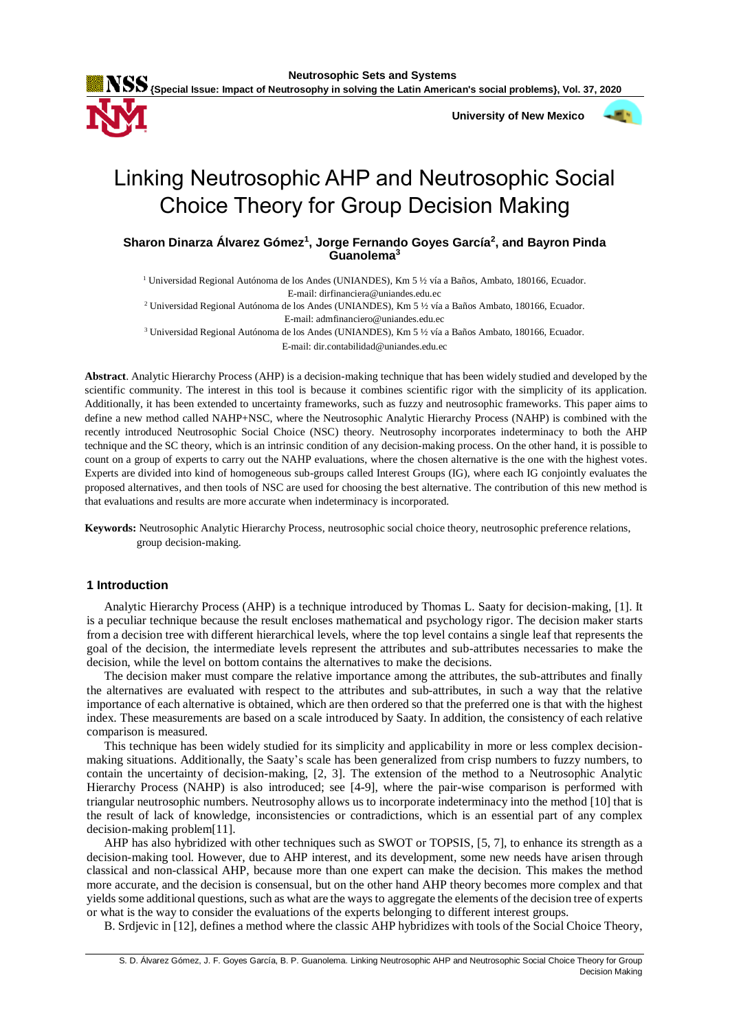

 **University of New Mexico**



# Linking Neutrosophic AHP and Neutrosophic Social Choice Theory for Group Decision Making

**Sharon Dinarza Álvarez Gómez<sup>1</sup> , Jorge Fernando Goyes García<sup>2</sup> , and Bayron Pinda Guanolema<sup>3</sup>**

<sup>1</sup> Universidad Regional Autónoma de los Andes (UNIANDES), Km 5 ½ vía a Baños, Ambato, 180166, Ecuador.

E-mail: dirfinanciera@uniandes.edu.ec

<sup>2</sup> Universidad Regional Autónoma de los Andes (UNIANDES), Km 5 ½ vía a Baños Ambato, 180166, Ecuador. E-mail: admfinanciero@uniandes.edu.ec

<sup>3</sup> Universidad Regional Autónoma de los Andes (UNIANDES), Km 5 ½ vía a Baños Ambato, 180166, Ecuador. E-mail: dir.contabilidad@uniandes.edu.ec

**Abstract**. Analytic Hierarchy Process (AHP) is a decision-making technique that has been widely studied and developed by the scientific community. The interest in this tool is because it combines scientific rigor with the simplicity of its application. Additionally, it has been extended to uncertainty frameworks, such as fuzzy and neutrosophic frameworks. This paper aims to define a new method called NAHP+NSC, where the Neutrosophic Analytic Hierarchy Process (NAHP) is combined with the recently introduced Neutrosophic Social Choice (NSC) theory. Neutrosophy incorporates indeterminacy to both the AHP technique and the SC theory, which is an intrinsic condition of any decision-making process. On the other hand, it is possible to count on a group of experts to carry out the NAHP evaluations, where the chosen alternative is the one with the highest votes. Experts are divided into kind of homogeneous sub-groups called Interest Groups (IG), where each IG conjointly evaluates the proposed alternatives, and then tools of NSC are used for choosing the best alternative. The contribution of this new method is that evaluations and results are more accurate when indeterminacy is incorporated.

**Keywords:** Neutrosophic Analytic Hierarchy Process, neutrosophic social choice theory, neutrosophic preference relations, group decision-making.

# **1 Introduction**

Analytic Hierarchy Process (AHP) is a technique introduced by Thomas L. Saaty for decision-making, [1]. It is a peculiar technique because the result encloses mathematical and psychology rigor. The decision maker starts from a decision tree with different hierarchical levels, where the top level contains a single leaf that represents the goal of the decision, the intermediate levels represent the attributes and sub-attributes necessaries to make the decision, while the level on bottom contains the alternatives to make the decisions.

The decision maker must compare the relative importance among the attributes, the sub-attributes and finally the alternatives are evaluated with respect to the attributes and sub-attributes, in such a way that the relative importance of each alternative is obtained, which are then ordered so that the preferred one is that with the highest index. These measurements are based on a scale introduced by Saaty. In addition, the consistency of each relative comparison is measured.

This technique has been widely studied for its simplicity and applicability in more or less complex decisionmaking situations. Additionally, the Saaty's scale has been generalized from crisp numbers to fuzzy numbers, to contain the uncertainty of decision-making, [2, 3]. The extension of the method to a Neutrosophic Analytic Hierarchy Process (NAHP) is also introduced; see [4-9], where the pair-wise comparison is performed with triangular neutrosophic numbers. Neutrosophy allows us to incorporate indeterminacy into the method [10] that is the result of lack of knowledge, inconsistencies or contradictions, which is an essential part of any complex decision-making problem[11].

AHP has also hybridized with other techniques such as SWOT or TOPSIS, [5, 7], to enhance its strength as a decision-making tool. However, due to AHP interest, and its development, some new needs have arisen through classical and non-classical AHP, because more than one expert can make the decision. This makes the method more accurate, and the decision is consensual, but on the other hand AHP theory becomes more complex and that yields some additional questions, such as what are the ways to aggregate the elements of the decision tree of experts or what is the way to consider the evaluations of the experts belonging to different interest groups.

B. Srdjevic in [12], defines a method where the classic AHP hybridizes with tools of the Social Choice Theory,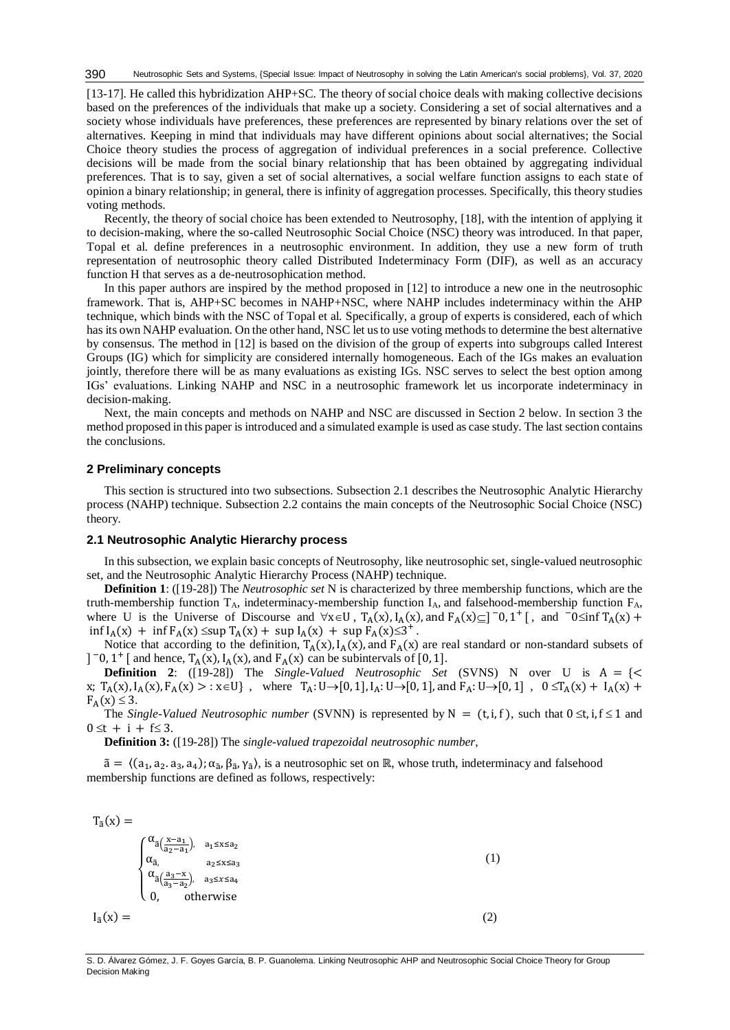[13-17]. He called this hybridization AHP+SC. The theory of social choice deals with making collective decisions based on the preferences of the individuals that make up a society. Considering a set of social alternatives and a society whose individuals have preferences, these preferences are represented by binary relations over the set of alternatives. Keeping in mind that individuals may have different opinions about social alternatives; the Social Choice theory studies the process of aggregation of individual preferences in a social preference. Collective decisions will be made from the social binary relationship that has been obtained by aggregating individual preferences. That is to say, given a set of social alternatives, a social welfare function assigns to each state of opinion a binary relationship; in general, there is infinity of aggregation processes. Specifically, this theory studies voting methods.

Recently, the theory of social choice has been extended to Neutrosophy, [18], with the intention of applying it to decision-making, where the so-called Neutrosophic Social Choice (NSC) theory was introduced. In that paper, Topal et al. define preferences in a neutrosophic environment. In addition, they use a new form of truth representation of neutrosophic theory called Distributed Indeterminacy Form (DIF), as well as an accuracy function H that serves as a de-neutrosophication method.

In this paper authors are inspired by the method proposed in [12] to introduce a new one in the neutrosophic framework. That is, AHP+SC becomes in NAHP+NSC, where NAHP includes indeterminacy within the AHP technique, which binds with the NSC of Topal et al. Specifically, a group of experts is considered, each of which has its own NAHP evaluation. On the other hand, NSC let us to use voting methods to determine the best alternative by consensus. The method in [12] is based on the division of the group of experts into subgroups called Interest Groups (IG) which for simplicity are considered internally homogeneous. Each of the IGs makes an evaluation jointly, therefore there will be as many evaluations as existing IGs. NSC serves to select the best option among IGs' evaluations. Linking NAHP and NSC in a neutrosophic framework let us incorporate indeterminacy in decision-making.

Next, the main concepts and methods on NAHP and NSC are discussed in Section 2 below. In section 3 the method proposed in this paper is introduced and a simulated example is used as case study. The last section contains the conclusions.

# **2 Preliminary concepts**

This section is structured into two subsections. Subsection 2.1 describes the Neutrosophic Analytic Hierarchy process (NAHP) technique. Subsection 2.2 contains the main concepts of the Neutrosophic Social Choice (NSC) theory.

# **2.1 Neutrosophic Analytic Hierarchy process**

In this subsection, we explain basic concepts of Neutrosophy, like neutrosophic set, single-valued neutrosophic set, and the Neutrosophic Analytic Hierarchy Process (NAHP) technique.

**Definition 1**: ([19-28]) The *Neutrosophic set* N is characterized by three membership functions, which are the truth-membership function  $T_A$ , indeterminacy-membership function  $I_A$ , and falsehood-membership function  $F_A$ , where U is the Universe of Discourse and  $\forall x \in U$ ,  $T_A(x)$ ,  $I_A(x)$ , and  $F_A(x) \subseteq ]\n-0, 1^+ [$ , and  $-0 \le \inf T_A(x) +$  $\inf I_A(x) + \inf F_A(x) \leq \sup T_A(x) + \sup I_A(x) + \sup F_A(x) \leq 3^+$ .

Notice that according to the definition,  $T_A(x)$ ,  $I_A(x)$ , and  $F_A(x)$  are real standard or non-standard subsets of ]  $\bar{ }$  −0, 1<sup>+</sup> [ and hence, T<sub>A</sub>(x), I<sub>A</sub>(x), and F<sub>A</sub>(x) can be subintervals of [0, 1].

**Definition 2**: ([19-28]) The *Single-Valued Neutrosophic Set* (SVNS) N over U is  $A = \{\leq$ x;  $T_A(x)$ ,  $I_A(x)$ ,  $F_A(x) > : x \in U$ , where  $T_A: U \to [0, 1]$ ,  $I_A: U \to [0, 1]$ , and  $F_A: U \to [0, 1]$ ,  $0 \le T_A(x) + I_A(x) + I_A(x)$  $F_A(x) \leq 3$ .

The *Single-Valued Neutrosophic number* (SVNN) is represented by  $N = (t, i, f)$ , such that  $0 \le t$ ,  $i, f \le 1$  and  $0 \le t + i + f \le 3$ .

**Definition 3:** ([19-28]) The *single-valued trapezoidal neutrosophic number*,

 $\tilde{a} = \langle (a_1, a_2, a_3, a_4), \alpha_{\tilde{a}}, \beta_{\tilde{a}}, \gamma_{\tilde{a}} \rangle$ , is a neutrosophic set on ℝ, whose truth, indeterminacy and falsehood membership functions are defined as follows, respectively:

$$
T_{\tilde{a}}(x) =
$$

$$
I_{\tilde{a}}(x) = \begin{cases} \alpha_{\tilde{a}}\left(\frac{x-a_1}{a_2-a_1}\right), & a_1 \le x \le a_2\\ \alpha_{\tilde{a}}, & a_2 \le x \le a_3\\ \alpha_{\tilde{a}}\left(\frac{a_3-x}{a_3-a_2}\right), & a_3 \le x \le a_4\\ 0, & \text{otherwise} \end{cases} \tag{1}
$$

S. D. Álvarez Gómez, J. F. Goyes García, B. P. Guanolema. Linking Neutrosophic AHP and Neutrosophic Social Choice Theory for Group Decision Making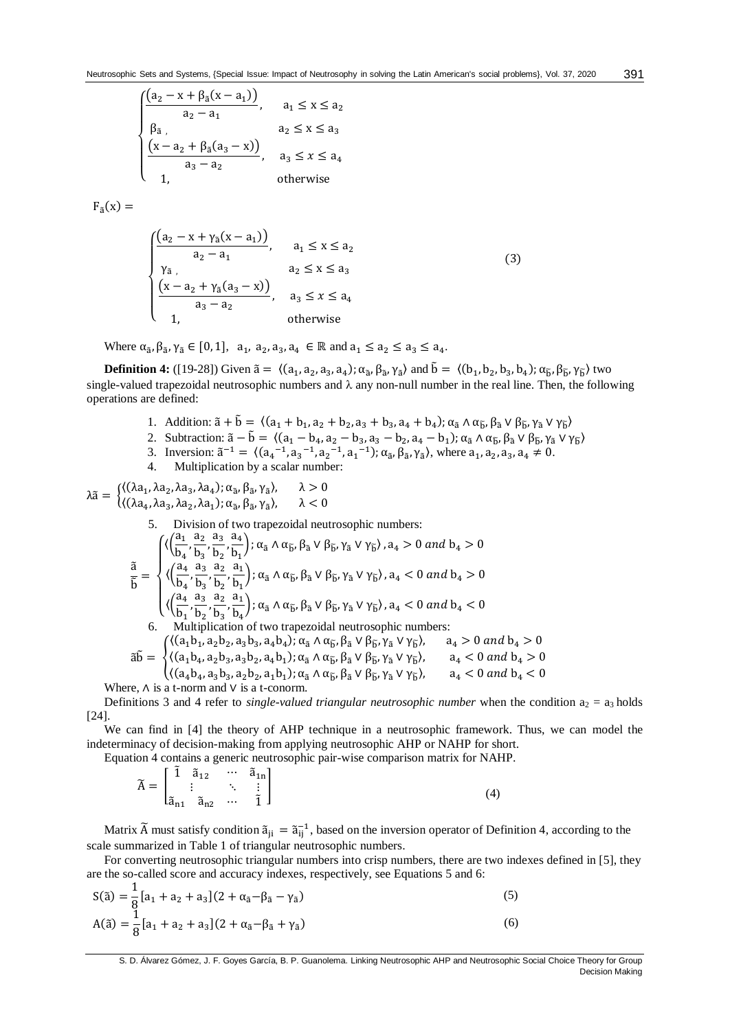$$
\begin{cases}\n(a_2 - x + \beta_{\tilde{a}}(x - a_1)) & a_1 \le x \le a_2 \\
\beta_{\tilde{a}} & a_2 \le x \le a_3 \\
\underbrace{(x - a_2 + \beta_{\tilde{a}}(a_3 - x))}_{a_3 - a_2}, & a_3 \le x \le a_4 \\
1, & \text{otherwise}\n\end{cases}
$$

 $F_{\tilde{a}}(x) =$ 

$$
\begin{cases}\n\frac{(a_2 - x + \gamma_{\tilde{a}}(x - a_1))}{a_2 - a_1}, & a_1 \le x \le a_2 \\
\gamma_{\tilde{a}}, & a_2 \le x \le a_3 \\
\frac{(x - a_2 + \gamma_{\tilde{a}}(a_3 - x))}{a_3 - a_2}, & a_3 \le x \le a_4 \\
1, & \text{otherwise}\n\end{cases}
$$
\n(3)

Where  $\alpha_{\tilde{a}}, \beta_{\tilde{a}}, \gamma_{\tilde{a}} \in [0,1], a_1, a_2, a_3, a_4 \in \mathbb{R}$  and  $a_1 \le a_2 \le a_3 \le a_4$ .

**Definition 4:** ([19-28]) Given  $\tilde{a} = \langle (a_1, a_2, a_3, a_4); \alpha_{\tilde{a}}, \beta_{\tilde{a}}, \gamma_{\tilde{a}} \rangle$  and  $\tilde{b} = \langle (b_1, b_2, b_3, b_4); \alpha_{\tilde{b}}, \beta_{\tilde{b}}, \gamma_{\tilde{b}} \rangle$  two single-valued trapezoidal neutrosophic numbers and  $\lambda$  any non-null number in the real line. Then, the following operations are defined:

- 1. Addition:  $\tilde{a} + \tilde{b} = \langle (a_1 + b_1, a_2 + b_2, a_3 + b_3, a_4 + b_4); \alpha_{\tilde{a}} \wedge \alpha_{\tilde{b}}, \beta_{\tilde{a}} \vee \beta_{\tilde{b}}, \gamma_{\tilde{a}} \vee \gamma_{\tilde{b}} \rangle$
- 2. Subtraction:  $\tilde{a} \tilde{b} = \langle (a_1 b_4, a_2 b_3, a_3 b_2, a_4 b_1) ; \alpha_{\tilde{a}} \wedge \alpha_{\tilde{b}}, \beta_{\tilde{a}} \vee \beta_{\tilde{b}}, \gamma_{\tilde{a}} \vee \gamma_{\tilde{b}} \rangle$
- 3. Inversion:  $\tilde{a}^{-1} = \langle (a_4^{-1}, a_3^{-1}, a_2^{-1}, a_1^{-1}) ; \alpha_{\tilde{a}}, \beta_{\tilde{a}}, \gamma_{\tilde{a}} \rangle$ , where  $a_1, a_2, a_3, a_4 \neq 0$ .
- 4. Multiplication by a scalar number:

$$
\lambda \tilde{a} = \begin{cases}\n\langle (\lambda a_1, \lambda a_2, \lambda a_3, \lambda a_4); \alpha_{\tilde{a}}, \beta_{\tilde{a}}, \gamma_{\tilde{a}} \rangle, & \lambda > 0 \\
\langle (\lambda a_4, \lambda a_3, \lambda a_2, \lambda a_1); \alpha_{\tilde{a}}, \beta_{\tilde{a}}, \gamma_{\tilde{a}} \rangle, & \lambda < 0\n\end{cases}
$$
\n5. Division of two trapezoidal neutrosophic numbers:\n
$$
\frac{\tilde{a}}{\tilde{b}} = \begin{cases}\n\langle \left(\frac{a_1}{b_4}, \frac{a_2}{b_3}, \frac{a_3}{b_2}, \frac{a_4}{b_1}\right); \alpha_{\tilde{a}} \wedge \alpha_{\tilde{b}}, \beta_{\tilde{a}} \vee \beta_{\tilde{b}}, \gamma_{\tilde{a}} \vee \gamma_{\tilde{b}} \rangle, a_4 > 0 \text{ and } b_4 > 0 \\
\langle \left(\frac{a_4}{b_4}, \frac{a_3}{b_3}, \frac{a_2}{b_2}, \frac{a_1}{b_1}\right); \alpha_{\tilde{a}} \wedge \alpha_{\tilde{b}}, \beta_{\tilde{a}} \vee \beta_{\tilde{b}}, \gamma_{\tilde{a}} \vee \gamma_{\tilde{b}} \rangle, a_4 < 0 \text{ and } b_4 > 0 \\
\langle \left(\frac{a_4}{b_1}, \frac{a_3}{b_2}, \frac{a_2}{b_3}, \frac{a_1}{b_4}\right); \alpha_{\tilde{a}} \wedge \alpha_{\tilde{b}}, \beta_{\tilde{a}} \vee \beta_{\tilde{b}}, \gamma_{\tilde{a}} \vee \gamma_{\tilde{b}} \rangle, a_4 < 0 \text{ and } b_4 < 0 \\
6. Multiplication of two trapezoidal neutrosophic numbers:\n\begin{cases}\n\langle (a_1 b_1, a_2 b_2, a_3 b_3, a_4 b_4); \alpha_{\tilde{a}} \wedge \alpha_{\tilde{b}}, \beta_{\tilde{a}} \vee \beta_{\tilde{b}}, \gamma_{\tilde{a}} \vee \gamma_{\tilde{b}} \rangle, & a_4 > 0 \text{ and } b_4 > 0 \\
\langle (a_1 b_4, a_2 b_3, a_3 b_2, a_4 b
$$

a t-norm and ∨ is a t-conorm.

Definitions 3 and 4 refer to *single-valued triangular neutrosophic number* when the condition  $a_2 = a_3$  holds [24].

We can find in [4] the theory of AHP technique in a neutrosophic framework. Thus, we can model the indeterminacy of decision-making from applying neutrosophic AHP or NAHP for short.

Equation 4 contains a generic neutrosophic pair-wise comparison matrix for NAHP.

|  |  | $\widetilde{A} = \begin{bmatrix} \widetilde{1} & \widetilde{a}_{12} & \cdots & \widetilde{a}_{1n} \\ \vdots & & \ddots & \vdots \\ \widetilde{a}_{n1} & \widetilde{a}_{n2} & \cdots & \widetilde{1} \end{bmatrix}$ |  |
|--|--|--------------------------------------------------------------------------------------------------------------------------------------------------------------------------------------------------------------------|--|
|  |  |                                                                                                                                                                                                                    |  |

Matrix  $\tilde{A}$  must satisfy condition  $\tilde{a}_{ji} = \tilde{a}_{ij}^{-1}$ , based on the inversion operator of Definition 4, according to the scale summarized in Table 1 of triangular neutrosophic numbers.

For converting neutrosophic triangular numbers into crisp numbers, there are two indexes defined in [5], they are the so-called score and accuracy indexes, respectively, see Equations 5 and 6:

$$
S(\tilde{a}) = \frac{1}{8} [a_1 + a_2 + a_3] (2 + \alpha_{\tilde{a}} - \beta_{\tilde{a}} - \gamma_{\tilde{a}})
$$
  
\n
$$
A(\tilde{a}) = \frac{1}{8} [a_1 + a_2 + a_3] (2 + \alpha_{\tilde{a}} - \beta_{\tilde{a}} + \gamma_{\tilde{a}})
$$
\n(6)

S. D. Álvarez Gómez, J. F. Goyes García, B. P. Guanolema. Linking Neutrosophic AHP and Neutrosophic Social Choice Theory for Group Decision Making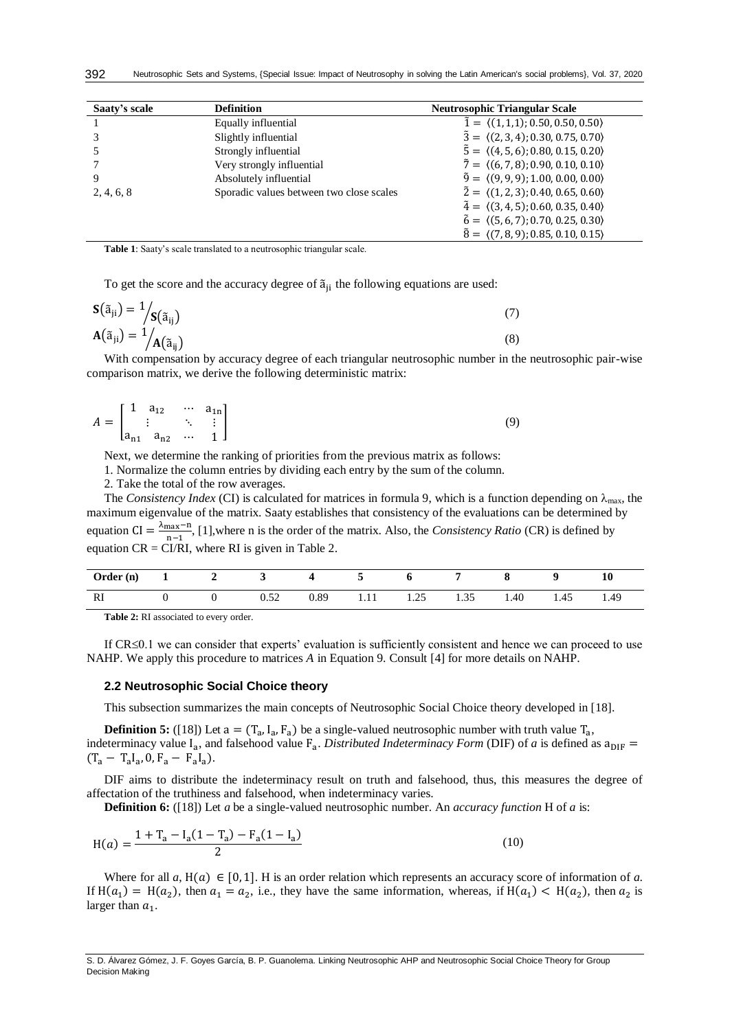| Saaty's scale | <b>Definition</b>                        | <b>Neutrosophic Triangular Scale</b>                      |
|---------------|------------------------------------------|-----------------------------------------------------------|
|               | Equally influential                      | $\tilde{1} = \langle (1,1,1); 0.50, 0.50, 0.50 \rangle$   |
|               | Slightly influential                     | $\tilde{3} = \langle (2,3,4); 0.30, 0.75, 0.70 \rangle$   |
|               | Strongly influential                     | $\tilde{5} = \langle (4, 5, 6); 0.80, 0.15, 0.20 \rangle$ |
|               | Very strongly influential                | $\tilde{7} = \langle (6, 7, 8); 0.90, 0.10, 0.10 \rangle$ |
| Q             | Absolutely influential                   | $\tilde{9} = \langle (9, 9, 9); 1.00, 0.00, 0.00 \rangle$ |
| 2, 4, 6, 8    | Sporadic values between two close scales | $\tilde{2} = \langle (1, 2, 3); 0.40, 0.65, 0.60 \rangle$ |
|               |                                          | $\tilde{4} = \langle (3, 4, 5); 0.60, 0.35, 0.40 \rangle$ |
|               |                                          | $\tilde{6} = \langle (5, 6, 7); 0.70, 0.25, 0.30 \rangle$ |
|               |                                          | $\tilde{8} = \langle (7,8,9); 0.85, 0.10, 0.15 \rangle$   |

**Table 1**: Saaty's scale translated to a neutrosophic triangular scale.

To get the score and the accuracy degree of  $\tilde{a}_{ii}$  the following equations are used:

$$
\mathbf{S}(\tilde{\mathbf{a}}_{ji}) = \frac{1}{s} \begin{cases} \mathbf{S}(\tilde{\mathbf{a}}_{ij}) & (7) \\ \mathbf{A}(\tilde{\mathbf{a}}_{ji}) = \frac{1}{s} \begin{cases} \mathbf{A}(\tilde{\mathbf{a}}_{ij}) & (8) \end{cases} \end{cases}
$$

With compensation by accuracy degree of each triangular neutrosophic number in the neutrosophic pair-wise comparison matrix, we derive the following deterministic matrix:

$$
A = \begin{bmatrix} 1 & a_{12} & \cdots & a_{1n} \\ \vdots & \ddots & \vdots \\ a_{n1} & a_{n2} & \cdots & 1 \end{bmatrix}
$$
 (9)

Next, we determine the ranking of priorities from the previous matrix as follows:

1. Normalize the column entries by dividing each entry by the sum of the column.

2. Take the total of the row averages.

The *Consistency Index* (CI) is calculated for matrices in formula 9, which is a function depending on  $\lambda_{\text{max}}$ , the maximum eigenvalue of the matrix. Saaty establishes that consistency of the evaluations can be determined by equation  $CI = \frac{\lambda_{\text{max}} - n}{n}$ <sup>nax-11</sup>, [1], where n is the order of the matrix. Also, the *Consistency Ratio* (CR) is defined by equation  $CR = CI/RI$ , where RI is given in Table 2.

| <b>Order</b> (n) | 1 2 | $\mathbf{3}$ | $\sim$ 4 |           |      |      |      |      |
|------------------|-----|--------------|----------|-----------|------|------|------|------|
| RI               |     | 0.52         | 0.89     | 1.11 1.25 | 1.35 | 1.40 | 1.45 | 1.49 |

**Table 2:** RI associated to every order.

If  $CR \leq 0.1$  we can consider that experts' evaluation is sufficiently consistent and hence we can proceed to use NAHP. We apply this procedure to matrices *A* in Equation 9. Consult [4] for more details on NAHP.

### **2.2 Neutrosophic Social Choice theory**

This subsection summarizes the main concepts of Neutrosophic Social Choice theory developed in [18].

**Definition 5:** ([18]) Let  $a = (T_a, I_a, F_a)$  be a single-valued neutrosophic number with truth value  $T_a$ , indeterminacy value  $I_a$ , and falsehood value  $F_a$ . *Distributed Indeterminacy Form* (DIF) of *a* is defined as  $a_{\text{DIF}} =$  $(T_a - T_a I_a, 0, F_a - F_a I_a).$ 

DIF aims to distribute the indeterminacy result on truth and falsehood, thus, this measures the degree of affectation of the truthiness and falsehood, when indeterminacy varies.

**Definition 6:** ([18]) Let *a* be a single-valued neutrosophic number. An *accuracy function* H of *a* is:

$$
H(a) = \frac{1 + T_a - I_a(1 - T_a) - F_a(1 - I_a)}{2}
$$
\n(10)

Where for all  $a, H(a) \in [0, 1]$ . H is an order relation which represents an accuracy score of information of  $a$ . If  $H(a_1) = H(a_2)$ , then  $a_1 = a_2$ , i.e., they have the same information, whereas, if  $H(a_1) < H(a_2)$ , then  $a_2$  is larger than  $a_1$ .

S. D. Álvarez Gómez, J. F. Goyes García, B. P. Guanolema. Linking Neutrosophic AHP and Neutrosophic Social Choice Theory for Group Decision Making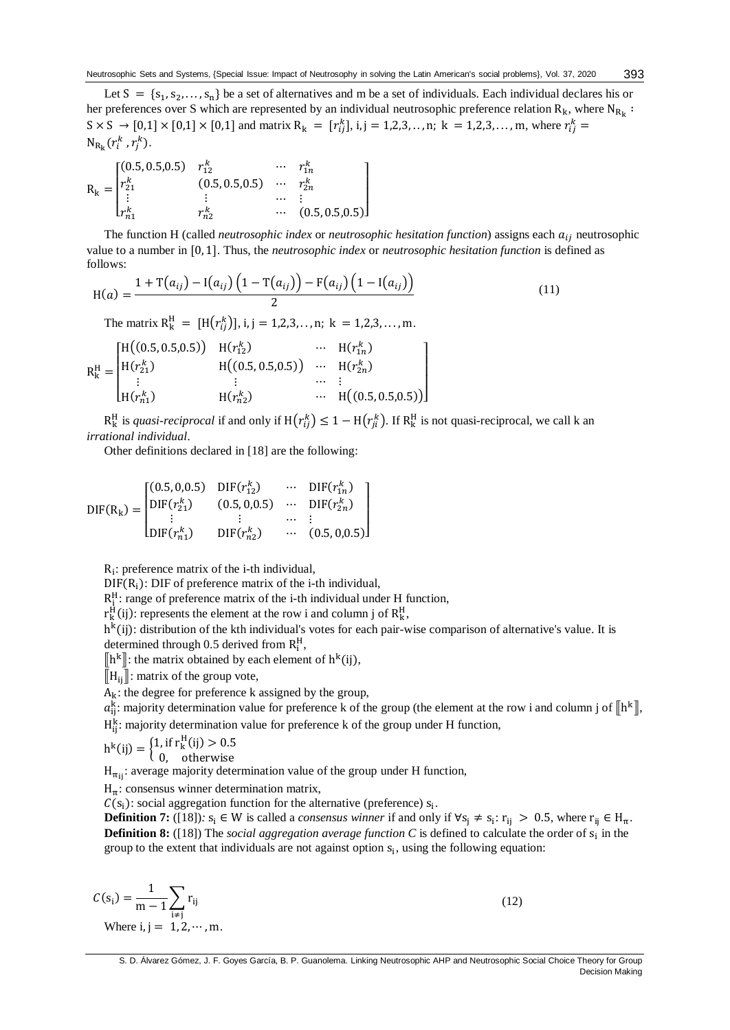Let  $S = \{s_1, s_2, \ldots, s_n\}$  be a set of alternatives and m be a set of individuals. Each individual declares his or her preferences over S which are represented by an individual neutrosophic preference relation  $R_k$ , where  $N_{R_k}$ :  $S \times S \to [0,1] \times [0,1] \times [0,1]$  and matrix  $R_k = [r_{ij}^k]$ , i, j = 1,2,3,.., n; k = 1,2,3,..., m, where  $r_{ij}^k =$  $N_{R_k}(r_i^k, r_j^k)$ .

$$
R_{k} = \begin{bmatrix} (0.5, 0.5, 0.5) & r_{12}^{k} & \cdots & r_{1n}^{k} \\ r_{21}^{k} & (0.5, 0.5, 0.5) & \cdots & r_{2n}^{k} \\ \vdots & \vdots & \cdots & \vdots \\ r_{n1}^{k} & r_{n2}^{k} & \cdots & (0.5, 0.5, 0.5) \end{bmatrix}
$$

The function H (called *neutrosophic index* or *neutrosophic hesitation function*) assigns each  $a_{ij}$  neutrosophic value to a number in [0, 1]. Thus, the *neutrosophic index* or *neutrosophic hesitation function* is defined as follows:

$$
H(a) = \frac{1 + T(a_{ij}) - I(a_{ij}) \left(1 - T(a_{ij})\right) - F(a_{ij}) \left(1 - I(a_{ij})\right)}{2}
$$
(11)

The matrix  $R_k^H = [H(r_{ij}^k)], i,j = 1,2,3,...,n; k = 1,2,3,...,m.$ 

$$
R_{k}^{H} = \begin{bmatrix} H((0.5, 0.5, 0.5)) & H(r_{12}^{k}) & \cdots & H(r_{1n}^{k}) \\ H(r_{21}^{k}) & H((0.5, 0.5, 0.5)) & \cdots & H(r_{2n}^{k}) \\ \vdots & \vdots & \cdots & \vdots \\ H(r_{n1}^{k}) & H(r_{n2}^{k}) & \cdots & H((0.5, 0.5, 0.5)) \end{bmatrix}
$$

 $R_k^H$  is *quasi-reciprocal* if and only if  $H(r_{ij}^k) \leq 1 - H(r_{ji}^k)$ . If  $R_k^H$  is not quasi-reciprocal, we call k an *irrational individual*.

Other definitions declared in [18] are the following:

$$
DIF(R_{k}) = \begin{bmatrix} (0.5, 0.0.5) & DIF(r_{12}^{k}) & \cdots & DIF(r_{1n}^{k}) \\ DIF(r_{21}^{k}) & (0.5, 0.0.5) & \cdots & DIF(r_{2n}^{k}) \\ \vdots & \vdots & \cdots & \vdots \\ DIF(r_{n1}^{k}) & DIF(r_{n2}^{k}) & \cdots & (0.5, 0.0.5) \end{bmatrix}
$$

Ri : preference matrix of the i-th individual,

 $DIF(R<sub>i</sub>)$ : DIF of preference matrix of the i-th individual,

 $R_1^H$ : range of preference matrix of the i-th individual under H function,

 $r_k^H(i)$ : represents the element at the row i and column j of  $R_k^H$ ,

h<sup>k</sup>(ij): distribution of the kth individual's votes for each pair-wise comparison of alternative's value. It is determined through 0.5 derived from  $R_i^H$ ,

 $\left[\mathbf{h}^k\right]$ : the matrix obtained by each element of  $\mathbf{h}^k(i)$ ,

 $\Vert H_{ii} \Vert$ : matrix of the group vote,

 $A_k$ : the degree for preference k assigned by the group,

 $a_{ij}^k$ : majority determination value for preference k of the group (the element at the row i and column j of  $[\![h^k]\!]$ ,  $H_{ij}^k$ : majority determination value for preference k of the group under H function,

$$
h^{k}(ij) = \begin{cases} 1, & \text{if } r_{k}^{H}(ij) > 0.5 \\ 0 & \text{otherwise} \end{cases}
$$

0, otherwise

 $H_{\pi_{ii}}$ : average majority determination value of the group under H function,

 $H_{\pi}$ : consensus winner determination matrix,

 $C(s_i)$ : social aggregation function for the alternative (preference)  $s_i$ .

**Definition 7:** ([18]):  $s_i \in W$  is called a *consensus winner* if and only if  $\forall s_j \neq s_i$ :  $r_{ij} > 0.5$ , where  $r_{ij} \in H_{\pi}$ . **Definition 8:** ([18]) The *social aggregation average function*  $C$  is defined to calculate the order of  $s_i$  in the group to the extent that individuals are not against option  $s_i$ , using the following equation:

$$
C(si) = \frac{1}{m-1} \sum_{i \neq j} r_{ij}
$$
  
Where i, j = 1, 2, ..., m. (12)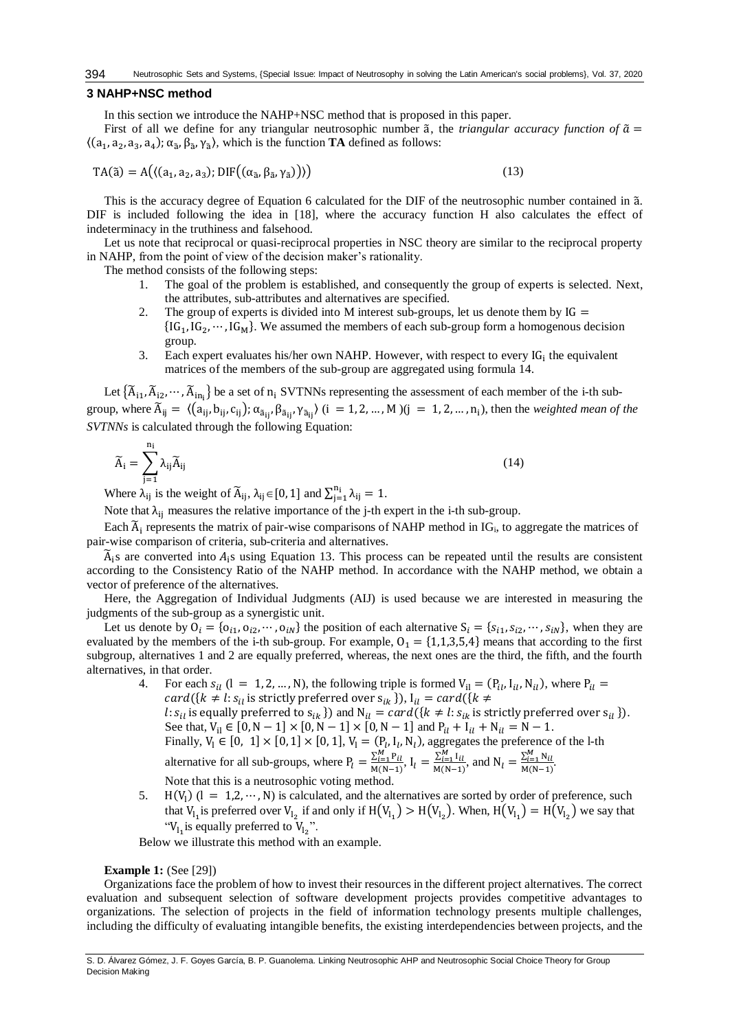# **3 NAHP+NSC method**

In this section we introduce the NAHP+NSC method that is proposed in this paper.

First of all we define for any triangular neutrosophic number  $\tilde{a}$ , the *triangular accuracy function of*  $\tilde{a}$  =  $\langle (a_1, a_2, a_3, a_4) ; \alpha_{\tilde{a}}, \beta_{\tilde{a}}, \gamma_{\tilde{a}} \rangle$ , which is the function **TA** defined as follows:

$$
TA(\tilde{a}) = A\big(\langle (a_1, a_2, a_3); DIF\big((\alpha_{\tilde{a}}, \beta_{\tilde{a}}, \gamma_{\tilde{a}})\big) \rangle\big) \tag{13}
$$

This is the accuracy degree of Equation 6 calculated for the DIF of the neutrosophic number contained in ã. DIF is included following the idea in [18], where the accuracy function H also calculates the effect of indeterminacy in the truthiness and falsehood.

Let us note that reciprocal or quasi-reciprocal properties in NSC theory are similar to the reciprocal property in NAHP, from the point of view of the decision maker's rationality.

The method consists of the following steps:

- 1. The goal of the problem is established, and consequently the group of experts is selected. Next, the attributes, sub-attributes and alternatives are specified.
- 2. The group of experts is divided into M interest sub-groups, let us denote them by  $IG =$  ${ [IG_1, IG_2, \cdots, IG_M]}.$  We assumed the members of each sub-group form a homogenous decision group.
- 3. Each expert evaluates his/her own NAHP. However, with respect to every  $IG_i$  the equivalent matrices of the members of the sub-group are aggregated using formula 14.

Let  $\{\widetilde{A}_{i1}, \widetilde{A}_{i2}, \cdots, \widetilde{A}_{in_i}\}$  be a set of  $n_i$  SVTNNs representing the assessment of each member of the i-th subgroup, where  $\widetilde{A}_{ij} = \langle (a_{ij}, b_{ij}, c_{ij}); \alpha_{\widetilde{a}_{ij}}, \beta_{\widetilde{a}_{ij}}, \gamma_{\widetilde{a}_{ij}} \rangle$  (i = 1, 2, ..., M )(j = 1, 2, ..., n<sub>i</sub>), then the *weighted mean of the SVTNNs* is calculated through the following Equation:

$$
\widetilde{A}_{i} = \sum_{j=1}^{n_{i}} \lambda_{ij} \widetilde{A}_{ij}
$$
\n(14)

Where  $\lambda_{ij}$  is the weight of  $\widetilde{A}_{ij}$ ,  $\lambda_{ij} \in [0, 1]$  and  $\sum_{j=1}^{n_i} \lambda_{ij} = 1$ .

Note that  $\lambda_{ii}$  measures the relative importance of the j-th expert in the i-th sub-group.

Each  $\widetilde{A}_i$  represents the matrix of pair-wise comparisons of NAHP method in IG<sub>i</sub>, to aggregate the matrices of pair-wise comparison of criteria, sub-criteria and alternatives.

 $\tilde{A}_i$ s are converted into  $A_i$ s using Equation 13. This process can be repeated until the results are consistent according to the Consistency Ratio of the NAHP method. In accordance with the NAHP method, we obtain a vector of preference of the alternatives.

Here, the Aggregation of Individual Judgments (AIJ) is used because we are interested in measuring the judgments of the sub-group as a synergistic unit.

Let us denote by  $O_i = \{o_{i1}, o_{i2}, \dots, o_{iN}\}\$  the position of each alternative  $S_i = \{s_{i1}, s_{i2}, \dots, s_{iN}\}\$ , when they are evaluated by the members of the i-th sub-group. For example,  $O_1 = \{1,1,3,5,4\}$  means that according to the first subgroup, alternatives 1 and 2 are equally preferred, whereas, the next ones are the third, the fifth, and the fourth alternatives, in that order.

4. For each  $s_{il}$  (1 = 1, 2, ..., N), the following triple is formed  $V_{il} = (P_{il}, I_{il}, N_{il})$ , where  $P_{il}$  =  $card({k \neq l: s_{il}})$  is strictly preferred over  $s_{ik}$  }),  $I_{il} = card({k \neq l})$ *l*:  $s_{il}$  is equally preferred to  $s_{ik}$  }) and  $N_{il} = card({k \neq l: s_{ik} \text{ is strictly preferred over } s_{il})$ . See that,  $V_{il} \in [0, N-1] \times [0, N-1] \times [0, N-1]$  and  $P_{il} + I_{il} + N_{il} = N-1$ . Finally,  $V_1 \in [0, 1] \times [0, 1] \times [0, 1]$ ,  $V_1 = (P_l, I_l, N_l)$ , aggregates the preference of the l-th alternative for all sub-groups, where  $P_l = \frac{\sum_{i=1}^{M} P_{il}}{M(N-1)}$ ,  $I_l = \frac{\sum_{i=1}^{M} I_{il}}{M(N-1)}$ , and  $N_l = \frac{\sum_{i=1}^{M} N_{il}}{M(N-1)}$ . Note that this is a neutrosophic voting method.

5. H(V<sub>1</sub>)  $(l = 1, 2, \dots, N)$  is calculated, and the alternatives are sorted by order of preference, such that  $V_{l_1}$  is preferred over  $V_{l_2}$  if and only if  $H(V_{l_1}) > H(V_{l_2})$ . When,  $H(V_{l_1}) = H(V_{l_2})$  we say that "V<sub>l<sub>1</sub></sub> is equally preferred to V<sub>l<sub>2</sub>".</sub>

Below we illustrate this method with an example.

# **Example 1:** (See [29])

Organizations face the problem of how to invest their resources in the different project alternatives. The correct evaluation and subsequent selection of software development projects provides competitive advantages to organizations. The selection of projects in the field of information technology presents multiple challenges, including the difficulty of evaluating intangible benefits, the existing interdependencies between projects, and the

S. D. Álvarez Gómez, J. F. Goyes García, B. P. Guanolema. Linking Neutrosophic AHP and Neutrosophic Social Choice Theory for Group Decision Making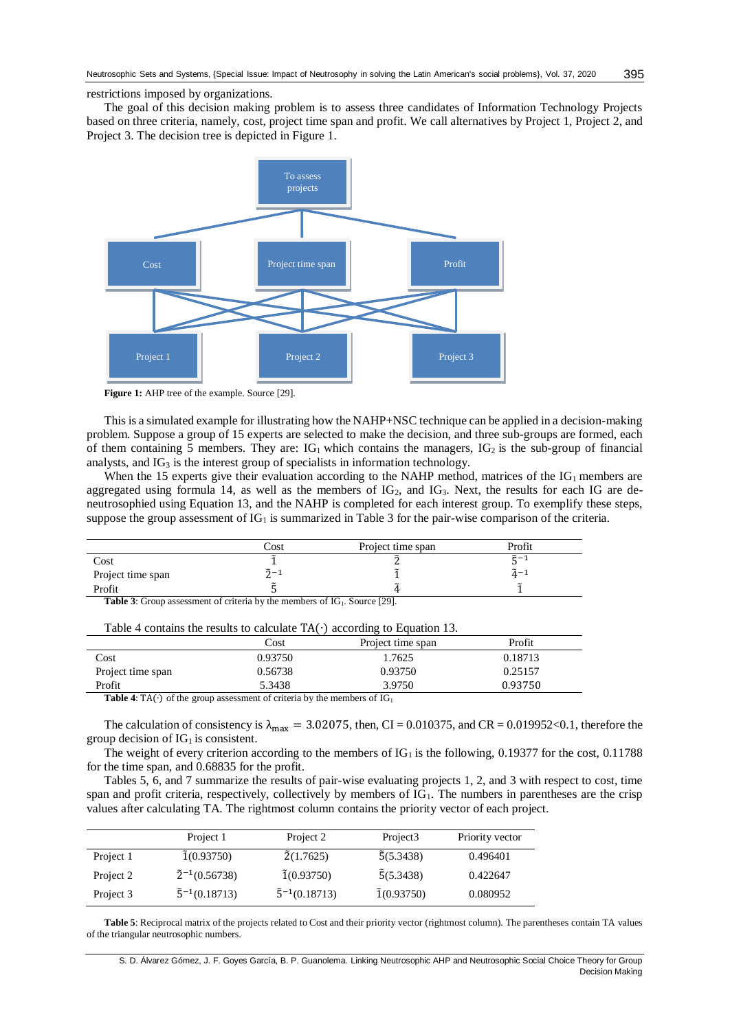#### restrictions imposed by organizations.

The goal of this decision making problem is to assess three candidates of Information Technology Projects based on three criteria, namely, cost, project time span and profit. We call alternatives by Project 1, Project 2, and Project 3. The decision tree is depicted in Figure 1.



Figure 1: AHP tree of the example. Source [29].

This is a simulated example for illustrating how the NAHP+NSC technique can be applied in a decision-making problem. Suppose a group of 15 experts are selected to make the decision, and three sub-groups are formed, each of them containing 5 members. They are:  $IG_1$  which contains the managers,  $IG_2$  is the sub-group of financial analysts, and  $IG_3$  is the interest group of specialists in information technology.

When the 15 experts give their evaluation according to the NAHP method, matrices of the  $IG_1$  members are aggregated using formula 14, as well as the members of  $IG_2$ , and  $IG_3$ . Next, the results for each IG are deneutrosophied using Equation 13, and the NAHP is completed for each interest group. To exemplify these steps, suppose the group assessment of  $IG<sub>1</sub>$  is summarized in Table 3 for the pair-wise comparison of the criteria.

|                   | Cost                    | Project time span | Profit                     |
|-------------------|-------------------------|-------------------|----------------------------|
| Cost              |                         |                   | ື້.                        |
| Project time span | $\tilde{2} - \tilde{2}$ |                   | $\tilde{\phantom{a}}$<br>- |
| Profit            |                         |                   |                            |

**Table 3:** Group assessment of criteria by the members of IG<sub>1</sub>. Source [29].

| Table 4 contains the results to calculate $TA(\cdot)$ according to Equation 13. |  |  |  |
|---------------------------------------------------------------------------------|--|--|--|
|---------------------------------------------------------------------------------|--|--|--|

|                                                                                                                        | Cost    | Project time span | Profit  |
|------------------------------------------------------------------------------------------------------------------------|---------|-------------------|---------|
| Cost                                                                                                                   | 0.93750 | 1.7625            | 0.18713 |
| Project time span                                                                                                      | 0.56738 | 0.93750           | 0.25157 |
| Profit                                                                                                                 | 5.3438  | 3.9750            | 0.93750 |
| $\mathbf{m}$ , it as $\mathbf{m}$ and $\mathbf{m}$ and $\mathbf{m}$ and $\mathbf{m}$ and $\mathbf{m}$ and $\mathbf{m}$ |         |                   |         |

**Table 4**: TA( $\cdot$ ) of the group assessment of criteria by the members of  $IG_1$ 

The calculation of consistency is  $\lambda_{\text{max}} = 3.02075$ , then, CI = 0.010375, and CR = 0.019952<0.1, therefore the group decision of  $IG<sub>1</sub>$  is consistent.

The weight of every criterion according to the members of  $IG<sub>1</sub>$  is the following, 0.19377 for the cost, 0.11788 for the time span, and 0.68835 for the profit.

Tables 5, 6, and 7 summarize the results of pair-wise evaluating projects 1, 2, and 3 with respect to cost, time span and profit criteria, respectively, collectively by members of IG<sub>1</sub>. The numbers in parentheses are the crisp values after calculating TA. The rightmost column contains the priority vector of each project.

|           | Project 1                 | Project 2                 | Project <sub>3</sub> | Priority vector |
|-----------|---------------------------|---------------------------|----------------------|-----------------|
| Project 1 | $\tilde{1}(0.93750)$      | $\tilde{2}(1.7625)$       | $\tilde{5}(5.3438)$  | 0.496401        |
| Project 2 | $\tilde{2}^{-1}(0.56738)$ | $\tilde{1}(0.93750)$      | $\tilde{5}(5.3438)$  | 0.422647        |
| Project 3 | $\tilde{5}^{-1}(0.18713)$ | $\tilde{5}^{-1}(0.18713)$ | $\tilde{1}(0.93750)$ | 0.080952        |

**Table 5**: Reciprocal matrix of the projects related to Cost and their priority vector (rightmost column). The parentheses contain TA values of the triangular neutrosophic numbers.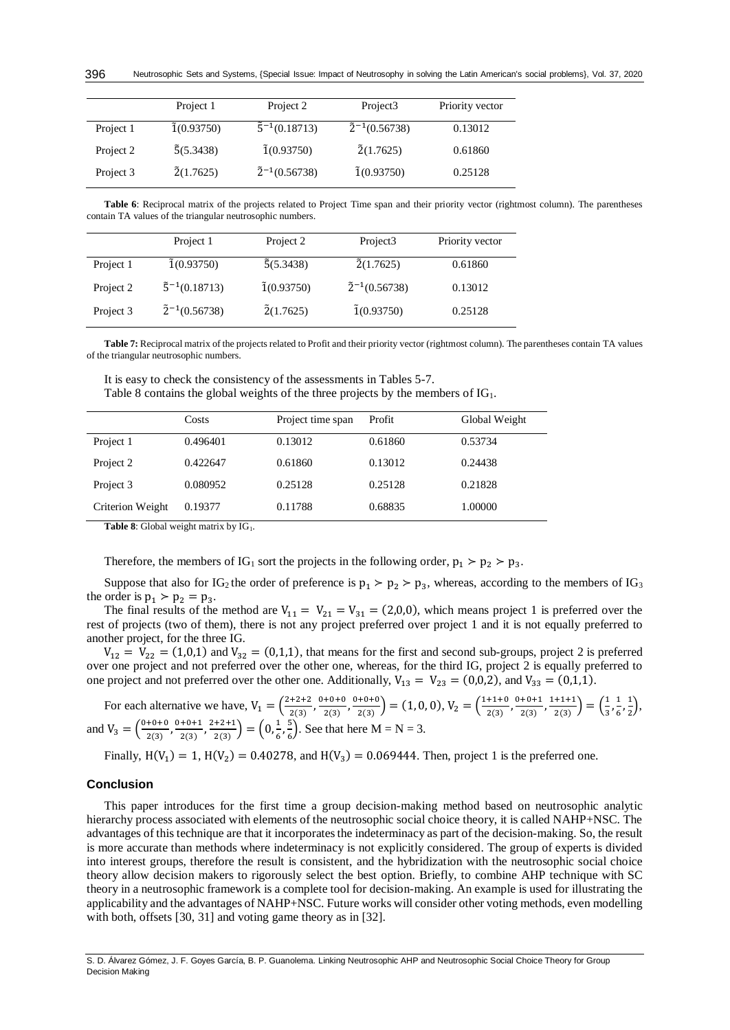|           | Project 1            | Project 2                 | Project <sub>3</sub>      | Priority vector |
|-----------|----------------------|---------------------------|---------------------------|-----------------|
| Project 1 | $\tilde{1}(0.93750)$ | $\tilde{5}^{-1}(0.18713)$ | $\tilde{2}^{-1}(0.56738)$ | 0.13012         |
| Project 2 | $\tilde{5}(5.3438)$  | $\tilde{1}(0.93750)$      | $\tilde{2}(1.7625)$       | 0.61860         |
| Project 3 | $\tilde{2}(1.7625)$  | $\tilde{2}^{-1}(0.56738)$ | $\tilde{1}(0.93750)$      | 0.25128         |

**Table 6**: Reciprocal matrix of the projects related to Project Time span and their priority vector (rightmost column). The parentheses contain TA values of the triangular neutrosophic numbers.

|           | Project 1                 | Project 2            | Project <sub>3</sub>      | Priority vector |
|-----------|---------------------------|----------------------|---------------------------|-----------------|
| Project 1 | $\tilde{1}(0.93750)$      | $\tilde{5}(5.3438)$  | $\tilde{2}(1.7625)$       | 0.61860         |
| Project 2 | $\tilde{5}^{-1}(0.18713)$ | $\tilde{1}(0.93750)$ | $\tilde{2}^{-1}(0.56738)$ | 0.13012         |
| Project 3 | $\tilde{2}^{-1}(0.56738)$ | $\tilde{2}(1.7625)$  | $\tilde{1}(0.93750)$      | 0.25128         |

**Table 7:** Reciprocal matrix of the projects related to Profit and their priority vector (rightmost column). The parentheses contain TA values of the triangular neutrosophic numbers.

Table 8 contains the global weights of the three projects by the members of IG<sub>1</sub>.

|                  | Costs    | Project time span | Profit  | Global Weight |
|------------------|----------|-------------------|---------|---------------|
| Project 1        | 0.496401 | 0.13012           | 0.61860 | 0.53734       |
| Project 2        | 0.422647 | 0.61860           | 0.13012 | 0.24438       |
| Project 3        | 0.080952 | 0.25128           | 0.25128 | 0.21828       |
| Criterion Weight | 0.19377  | 0.11788           | 0.68835 | 1.00000       |

Table 8: Global weight matrix by IG<sub>1</sub>.

Therefore, the members of IG<sub>1</sub> sort the projects in the following order,  $p_1 > p_2 > p_3$ .

Suppose that also for IG<sub>2</sub> the order of preference is  $p_1 > p_2 > p_3$ , whereas, according to the members of IG<sub>3</sub> the order is  $p_1 > p_2 = p_3$ .

The final results of the method are  $V_{11} = V_{21} = V_{31} = (2,0,0)$ , which means project 1 is preferred over the rest of projects (two of them), there is not any project preferred over project 1 and it is not equally preferred to another project, for the three IG.

 $V_{12} = V_{22} = (1,0,1)$  and  $V_{32} = (0,1,1)$ , that means for the first and second sub-groups, project 2 is preferred over one project and not preferred over the other one, whereas, for the third IG, project 2 is equally preferred to one project and not preferred over the other one. Additionally,  $V_{13} = V_{23} = (0,0,2)$ , and  $V_{33} = (0,1,1)$ .

For each alternative we have,  $V_1 = \left(\frac{2+2+2}{2(3)}\right)$  $\frac{+2+2}{2(3)}$ ,  $\frac{0+0+0}{2(3)}$  $\frac{+0+0}{2(3)}$ ,  $\frac{0+0+0}{2(3)}$  $\left(\frac{1+1+0}{2(3)}\right)$  = (1, 0, 0), V<sub>2</sub> =  $\left(\frac{1+1+0}{2(3)}\right)$  $\frac{+1+0}{2(3)}$ ,  $\frac{0+0+1}{2(3)}$  $\frac{+0+1}{2(3)}$ ,  $\frac{1+1+1}{2(3)}$  $\frac{+1+1}{2(3)}$  =  $\left(\frac{1}{3}\right)$  $\frac{1}{3}, \frac{1}{6}$  $\frac{1}{6}$ ,  $\frac{1}{2}$  $\frac{1}{2}$ ), and  $V_3 = \left(\frac{0+0+0}{2(2)}\right)$  $\frac{+0+0}{2(3)}$ ,  $\frac{0+0+1}{2(3)}$  $\frac{+0+1}{2(3)}$ ,  $\frac{2+2+1}{2(3)}$  $\left(\frac{+2+1}{2(3)}\right) = \left(0, \frac{1}{6}\right)$  $\frac{1}{6}, \frac{5}{6}$  $\frac{5}{6}$ ). See that here M = N = 3.

Finally,  $H(V_1) = 1$ ,  $H(V_2) = 0.40278$ , and  $H(V_3) = 0.069444$ . Then, project 1 is the preferred one.

### **Conclusion**

This paper introduces for the first time a group decision-making method based on neutrosophic analytic hierarchy process associated with elements of the neutrosophic social choice theory, it is called NAHP+NSC. The advantages of this technique are that it incorporates the indeterminacy as part of the decision-making. So, the result is more accurate than methods where indeterminacy is not explicitly considered. The group of experts is divided into interest groups, therefore the result is consistent, and the hybridization with the neutrosophic social choice theory allow decision makers to rigorously select the best option. Briefly, to combine AHP technique with SC theory in a neutrosophic framework is a complete tool for decision-making. An example is used for illustrating the applicability and the advantages of NAHP+NSC. Future works will consider other voting methods, even modelling with both, offsets [30, 31] and voting game theory as in [32].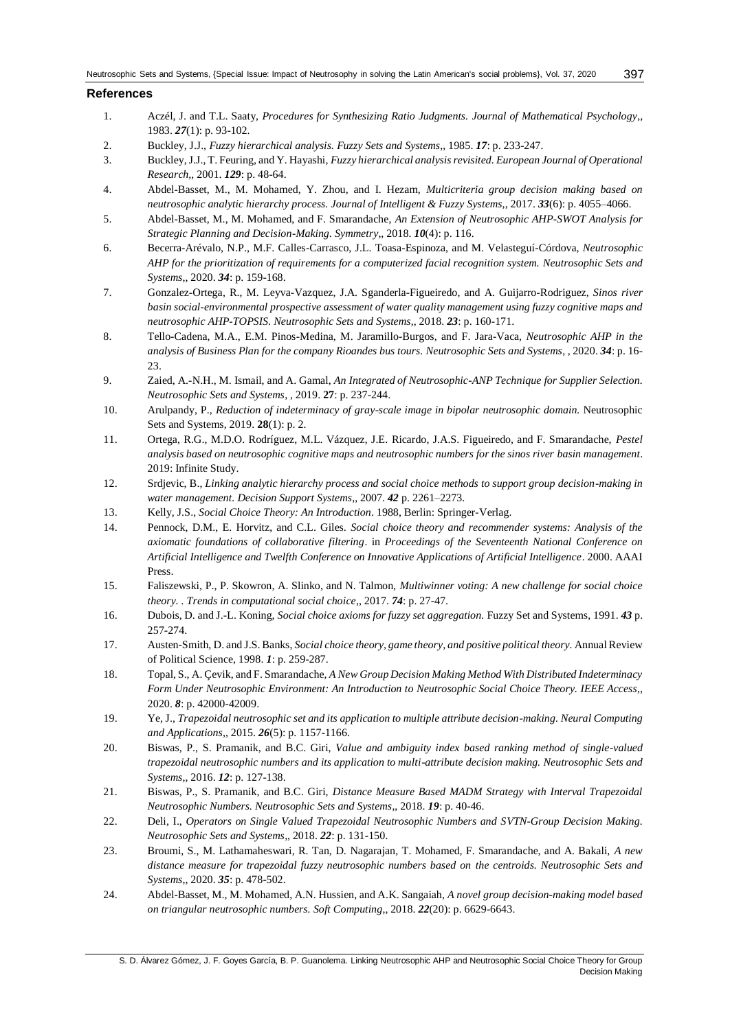# **References**

- 1. Aczél, J. and T.L. Saaty, *Procedures for Synthesizing Ratio Judgments. Journal of Mathematical Psychology*,, 1983. *27*(1): p. 93-102.
- 2. Buckley, J.J., *Fuzzy hierarchical analysis. Fuzzy Sets and Systems*,, 1985. *17*: p. 233-247.
- 3. Buckley, J.J., T. Feuring, and Y. Hayashi, *Fuzzy hierarchical analysis revisited. European Journal of Operational Research,*, 2001. *129*: p. 48-64.
- 4. Abdel-Basset, M., M. Mohamed, Y. Zhou, and I. Hezam, *Multicriteria group decision making based on neutrosophic analytic hierarchy process. Journal of Intelligent & Fuzzy Systems,*, 2017. *33*(6): p. 4055–4066.
- 5. Abdel-Basset, M., M. Mohamed, and F. Smarandache, *An Extension of Neutrosophic AHP-SWOT Analysis for Strategic Planning and Decision-Making. Symmetry*,, 2018. *10*(4): p. 116.
- 6. Becerra-Arévalo, N.P., M.F. Calles-Carrasco, J.L. Toasa-Espinoza, and M. Velasteguí-Córdova, *Neutrosophic AHP for the prioritization of requirements for a computerized facial recognition system. Neutrosophic Sets and Systems*,, 2020. *34*: p. 159-168.
- 7. Gonzalez-Ortega, R., M. Leyva-Vazquez, J.A. Sganderla-Figueiredo, and A. Guijarro-Rodriguez, *Sinos river basin social-environmental prospective assessment of water quality management using fuzzy cognitive maps and neutrosophic AHP-TOPSIS. Neutrosophic Sets and Systems*,, 2018. *23*: p. 160-171.
- 8. Tello-Cadena, M.A., E.M. Pinos-Medina, M. Jaramillo-Burgos, and F. Jara-Vaca, *Neutrosophic AHP in the analysis of Business Plan for the company Rioandes bus tours. Neutrosophic Sets and Systems*, , 2020. *34*: p. 16- 23.
- 9. Zaied, A.-N.H., M. Ismail, and A. Gamal, *An Integrated of Neutrosophic-ANP Technique for Supplier Selection. Neutrosophic Sets and Systems*, , 2019. **27**: p. 237-244.
- 10. Arulpandy, P., *Reduction of indeterminacy of gray-scale image in bipolar neutrosophic domain.* Neutrosophic Sets and Systems, 2019. **28**(1): p. 2.
- 11. Ortega, R.G., M.D.O. Rodríguez, M.L. Vázquez, J.E. Ricardo, J.A.S. Figueiredo, and F. Smarandache, *Pestel analysis based on neutrosophic cognitive maps and neutrosophic numbers for the sinos river basin management*. 2019: Infinite Study.
- 12. Srdjevic, B., *Linking analytic hierarchy process and social choice methods to support group decision-making in water management. Decision Support Systems*,, 2007. *42* p. 2261–2273.
- 13. Kelly, J.S., *Social Choice Theory: An Introduction*. 1988, Berlin: Springer-Verlag.
- 14. Pennock, D.M., E. Horvitz, and C.L. Giles. *Social choice theory and recommender systems: Analysis of the axiomatic foundations of collaborative filtering*. in *Proceedings of the Seventeenth National Conference on Artificial Intelligence and Twelfth Conference on Innovative Applications of Artificial Intelligence*. 2000. AAAI Press.
- 15. Faliszewski, P., P. Skowron, A. Slinko, and N. Talmon, *Multiwinner voting: A new challenge for social choice theory. . Trends in computational social choice*,, 2017. *74*: p. 27-47.
- 16. Dubois, D. and J.-L. Koning, *Social choice axioms for fuzzy set aggregation.* Fuzzy Set and Systems, 1991. *43* p. 257-274.
- 17. Austen-Smith, D. and J.S. Banks, *Social choice theory, game theory, and positive political theory.* Annual Review of Political Science, 1998. *1*: p. 259-287.
- 18. Topal, S., A. Çevik, and F. Smarandache, *A New Group Decision Making Method With Distributed Indeterminacy Form Under Neutrosophic Environment: An Introduction to Neutrosophic Social Choice Theory. IEEE Access*,, 2020. *8*: p. 42000-42009.
- 19. Ye, J., *Trapezoidal neutrosophic set and its application to multiple attribute decision-making. Neural Computing and Applications*,, 2015. *26*(5): p. 1157-1166.
- 20. Biswas, P., S. Pramanik, and B.C. Giri, *Value and ambiguity index based ranking method of single-valued trapezoidal neutrosophic numbers and its application to multi-attribute decision making. Neutrosophic Sets and Systems*,, 2016. *12*: p. 127-138.
- 21. Biswas, P., S. Pramanik, and B.C. Giri, *Distance Measure Based MADM Strategy with Interval Trapezoidal Neutrosophic Numbers. Neutrosophic Sets and Systems*,, 2018. *19*: p. 40-46.
- 22. Deli, I., *Operators on Single Valued Trapezoidal Neutrosophic Numbers and SVTN-Group Decision Making. Neutrosophic Sets and Systems*,, 2018. *22*: p. 131-150.
- 23. Broumi, S., M. Lathamaheswari, R. Tan, D. Nagarajan, T. Mohamed, F. Smarandache, and A. Bakali, *A new distance measure for trapezoidal fuzzy neutrosophic numbers based on the centroids. Neutrosophic Sets and Systems*,, 2020. *35*: p. 478-502.
- 24. Abdel-Basset, M., M. Mohamed, A.N. Hussien, and A.K. Sangaiah, *A novel group decision-making model based on triangular neutrosophic numbers. Soft Computing*,, 2018. *22*(20): p. 6629-6643.